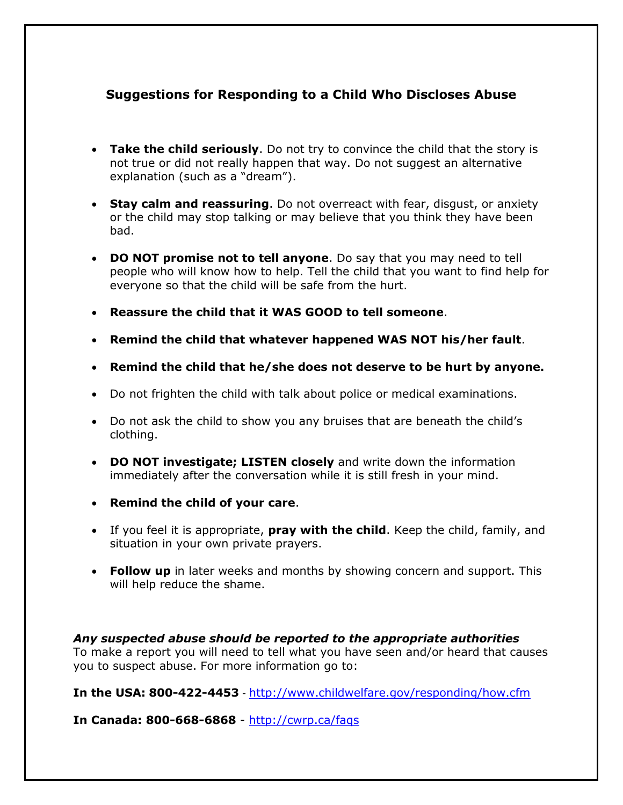## **Suggestions for Responding to a Child Who Discloses Abuse**

- **Take the child seriously**. Do not try to convince the child that the story is not true or did not really happen that way. Do not suggest an alternative explanation (such as a "dream").
- **Stay calm and reassuring**. Do not overreact with fear, disgust, or anxiety or the child may stop talking or may believe that you think they have been bad.
- **DO NOT promise not to tell anyone**. Do say that you may need to tell people who will know how to help. Tell the child that you want to find help for everyone so that the child will be safe from the hurt.
- **Reassure the child that it WAS GOOD to tell someone**.
- **Remind the child that whatever happened WAS NOT his/her fault**.
- **Remind the child that he/she does not deserve to be hurt by anyone.**
- Do not frighten the child with talk about police or medical examinations.
- Do not ask the child to show you any bruises that are beneath the child's clothing.
- **DO NOT investigate; LISTEN closely** and write down the information immediately after the conversation while it is still fresh in your mind.
- **Remind the child of your care**.
- If you feel it is appropriate, **pray with the child**. Keep the child, family, and situation in your own private prayers.
- **Follow up** in later weeks and months by showing concern and support. This will help reduce the shame.

*Any suspected abuse should be reported to the appropriate authorities* To make a report you will need to tell what you have seen and/or heard that causes you to suspect abuse. For more information go to:

**In the USA: 800-422-4453** - <http://www.childwelfare.gov/responding/how.cfm>

**In Canada: 800-668-6868** - <http://cwrp.ca/faqs>